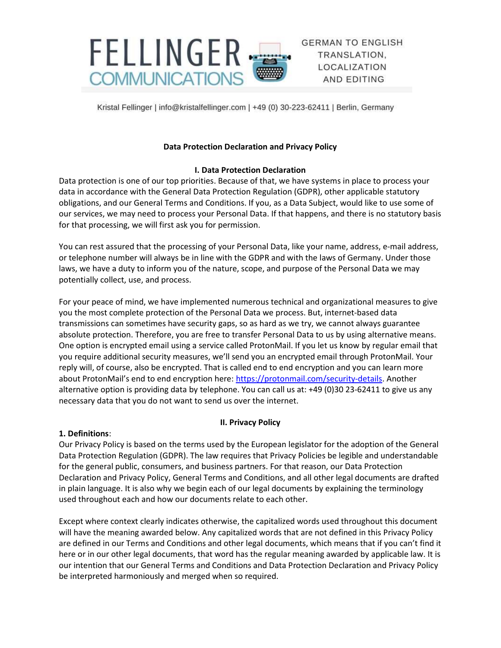

**GERMAN TO ENGLISH** TRANSLATION. LOCALIZATION AND EDITING

Kristal Fellinger | info@kristalfellinger.com | +49 (0) 30-223-62411 | Berlin, Germany

# Data Protection Declaration and Privacy Policy

### I. Data Protection Declaration

Data protection is one of our top priorities. Because of that, we have systems in place to process your data in accordance with the General Data Protection Regulation (GDPR), other applicable statutory obligations, and our General Terms and Conditions. If you, as a Data Subject, would like to use some of our services, we may need to process your Personal Data. If that happens, and there is no statutory basis for that processing, we will first ask you for permission.

You can rest assured that the processing of your Personal Data, like your name, address, e-mail address, or telephone number will always be in line with the GDPR and with the laws of Germany. Under those laws, we have a duty to inform you of the nature, scope, and purpose of the Personal Data we may potentially collect, use, and process.

For your peace of mind, we have implemented numerous technical and organizational measures to give you the most complete protection of the Personal Data we process. But, internet-based data transmissions can sometimes have security gaps, so as hard as we try, we cannot always guarantee absolute protection. Therefore, you are free to transfer Personal Data to us by using alternative means. One option is encrypted email using a service called ProtonMail. If you let us know by regular email that you require additional security measures, we'll send you an encrypted email through ProtonMail. Your reply will, of course, also be encrypted. That is called end to end encryption and you can learn more about ProtonMail's end to end encryption here: https://protonmail.com/security-details. Another alternative option is providing data by telephone. You can call us at: +49 (0)30 23-62411 to give us any necessary data that you do not want to send us over the internet.

# II. Privacy Policy

### 1. Definitions:

Our Privacy Policy is based on the terms used by the European legislator for the adoption of the General Data Protection Regulation (GDPR). The law requires that Privacy Policies be legible and understandable for the general public, consumers, and business partners. For that reason, our Data Protection Declaration and Privacy Policy, General Terms and Conditions, and all other legal documents are drafted in plain language. It is also why we begin each of our legal documents by explaining the terminology used throughout each and how our documents relate to each other.

Except where context clearly indicates otherwise, the capitalized words used throughout this document will have the meaning awarded below. Any capitalized words that are not defined in this Privacy Policy are defined in our Terms and Conditions and other legal documents, which means that if you can't find it here or in our other legal documents, that word has the regular meaning awarded by applicable law. It is our intention that our General Terms and Conditions and Data Protection Declaration and Privacy Policy be interpreted harmoniously and merged when so required.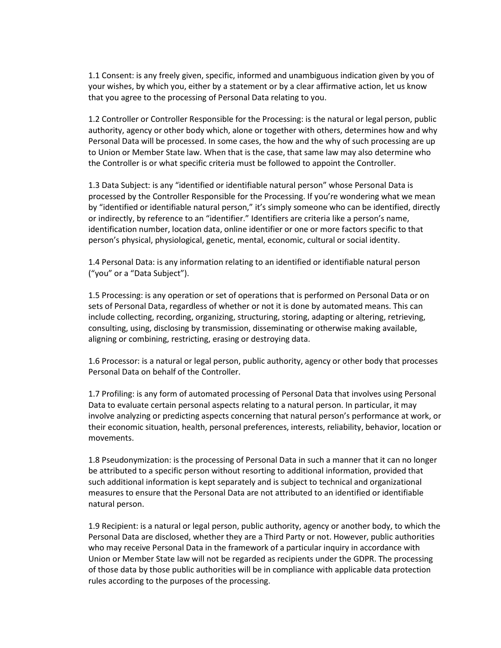1.1 Consent: is any freely given, specific, informed and unambiguous indication given by you of your wishes, by which you, either by a statement or by a clear affirmative action, let us know that you agree to the processing of Personal Data relating to you.

1.2 Controller or Controller Responsible for the Processing: is the natural or legal person, public authority, agency or other body which, alone or together with others, determines how and why Personal Data will be processed. In some cases, the how and the why of such processing are up to Union or Member State law. When that is the case, that same law may also determine who the Controller is or what specific criteria must be followed to appoint the Controller.

1.3 Data Subject: is any "identified or identifiable natural person" whose Personal Data is processed by the Controller Responsible for the Processing. If you're wondering what we mean by "identified or identifiable natural person," it's simply someone who can be identified, directly or indirectly, by reference to an "identifier." Identifiers are criteria like a person's name, identification number, location data, online identifier or one or more factors specific to that person's physical, physiological, genetic, mental, economic, cultural or social identity.

1.4 Personal Data: is any information relating to an identified or identifiable natural person ("you" or a "Data Subject").

1.5 Processing: is any operation or set of operations that is performed on Personal Data or on sets of Personal Data, regardless of whether or not it is done by automated means. This can include collecting, recording, organizing, structuring, storing, adapting or altering, retrieving, consulting, using, disclosing by transmission, disseminating or otherwise making available, aligning or combining, restricting, erasing or destroying data.

1.6 Processor: is a natural or legal person, public authority, agency or other body that processes Personal Data on behalf of the Controller.

1.7 Profiling: is any form of automated processing of Personal Data that involves using Personal Data to evaluate certain personal aspects relating to a natural person. In particular, it may involve analyzing or predicting aspects concerning that natural person's performance at work, or their economic situation, health, personal preferences, interests, reliability, behavior, location or movements.

1.8 Pseudonymization: is the processing of Personal Data in such a manner that it can no longer be attributed to a specific person without resorting to additional information, provided that such additional information is kept separately and is subject to technical and organizational measures to ensure that the Personal Data are not attributed to an identified or identifiable natural person.

1.9 Recipient: is a natural or legal person, public authority, agency or another body, to which the Personal Data are disclosed, whether they are a Third Party or not. However, public authorities who may receive Personal Data in the framework of a particular inquiry in accordance with Union or Member State law will not be regarded as recipients under the GDPR. The processing of those data by those public authorities will be in compliance with applicable data protection rules according to the purposes of the processing.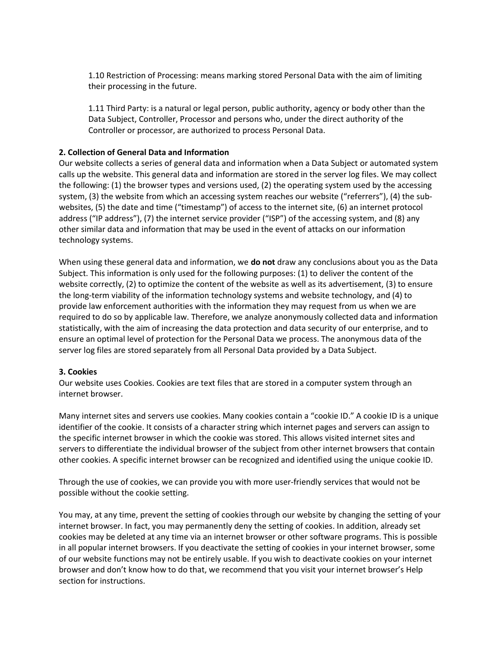1.10 Restriction of Processing: means marking stored Personal Data with the aim of limiting their processing in the future.

1.11 Third Party: is a natural or legal person, public authority, agency or body other than the Data Subject, Controller, Processor and persons who, under the direct authority of the Controller or processor, are authorized to process Personal Data.

### 2. Collection of General Data and Information

Our website collects a series of general data and information when a Data Subject or automated system calls up the website. This general data and information are stored in the server log files. We may collect the following: (1) the browser types and versions used, (2) the operating system used by the accessing system, (3) the website from which an accessing system reaches our website ("referrers"), (4) the subwebsites, (5) the date and time ("timestamp") of access to the internet site, (6) an internet protocol address ("IP address"), (7) the internet service provider ("ISP") of the accessing system, and (8) any other similar data and information that may be used in the event of attacks on our information technology systems.

When using these general data and information, we **do not** draw any conclusions about you as the Data Subject. This information is only used for the following purposes: (1) to deliver the content of the website correctly, (2) to optimize the content of the website as well as its advertisement, (3) to ensure the long-term viability of the information technology systems and website technology, and (4) to provide law enforcement authorities with the information they may request from us when we are required to do so by applicable law. Therefore, we analyze anonymously collected data and information statistically, with the aim of increasing the data protection and data security of our enterprise, and to ensure an optimal level of protection for the Personal Data we process. The anonymous data of the server log files are stored separately from all Personal Data provided by a Data Subject.

#### 3. Cookies

Our website uses Cookies. Cookies are text files that are stored in a computer system through an internet browser.

Many internet sites and servers use cookies. Many cookies contain a "cookie ID." A cookie ID is a unique identifier of the cookie. It consists of a character string which internet pages and servers can assign to the specific internet browser in which the cookie was stored. This allows visited internet sites and servers to differentiate the individual browser of the subject from other internet browsers that contain other cookies. A specific internet browser can be recognized and identified using the unique cookie ID.

Through the use of cookies, we can provide you with more user-friendly services that would not be possible without the cookie setting.

You may, at any time, prevent the setting of cookies through our website by changing the setting of your internet browser. In fact, you may permanently deny the setting of cookies. In addition, already set cookies may be deleted at any time via an internet browser or other software programs. This is possible in all popular internet browsers. If you deactivate the setting of cookies in your internet browser, some of our website functions may not be entirely usable. If you wish to deactivate cookies on your internet browser and don't know how to do that, we recommend that you visit your internet browser's Help section for instructions.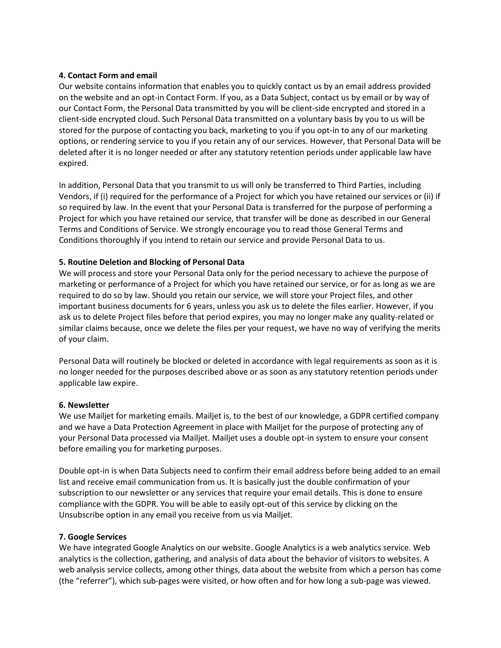#### 4. Contact Form and email

Our website contains information that enables you to quickly contact us by an email address provided on the website and an opt-in Contact Form. If you, as a Data Subject, contact us by email or by way of our Contact Form, the Personal Data transmitted by you will be client-side encrypted and stored in a client-side encrypted cloud. Such Personal Data transmitted on a voluntary basis by you to us will be stored for the purpose of contacting you back, marketing to you if you opt-in to any of our marketing options, or rendering service to you if you retain any of our services. However, that Personal Data will be deleted after it is no longer needed or after any statutory retention periods under applicable law have expired.

In addition, Personal Data that you transmit to us will only be transferred to Third Parties, including Vendors, if (i) required for the performance of a Project for which you have retained our services or (ii) if so required by law. In the event that your Personal Data is transferred for the purpose of performing a Project for which you have retained our service, that transfer will be done as described in our General Terms and Conditions of Service. We strongly encourage you to read those General Terms and Conditions thoroughly if you intend to retain our service and provide Personal Data to us.

### 5. Routine Deletion and Blocking of Personal Data

We will process and store your Personal Data only for the period necessary to achieve the purpose of marketing or performance of a Project for which you have retained our service, or for as long as we are required to do so by law. Should you retain our service, we will store your Project files, and other important business documents for 6 years, unless you ask us to delete the files earlier. However, if you ask us to delete Project files before that period expires, you may no longer make any quality-related or similar claims because, once we delete the files per your request, we have no way of verifying the merits of your claim.

Personal Data will routinely be blocked or deleted in accordance with legal requirements as soon as it is no longer needed for the purposes described above or as soon as any statutory retention periods under applicable law expire.

#### 6. Newsletter

We use Mailjet for marketing emails. Mailjet is, to the best of our knowledge, a GDPR certified company and we have a Data Protection Agreement in place with Mailjet for the purpose of protecting any of your Personal Data processed via Mailjet. Mailjet uses a double opt-in system to ensure your consent before emailing you for marketing purposes.

Double opt-in is when Data Subjects need to confirm their email address before being added to an email list and receive email communication from us. It is basically just the double confirmation of your subscription to our newsletter or any services that require your email details. This is done to ensure compliance with the GDPR. You will be able to easily opt-out of this service by clicking on the Unsubscribe option in any email you receive from us via Mailjet.

#### 7. Google Services

We have integrated Google Analytics on our website. Google Analytics is a web analytics service. Web analytics is the collection, gathering, and analysis of data about the behavior of visitors to websites. A web analysis service collects, among other things, data about the website from which a person has come (the "referrer"), which sub-pages were visited, or how often and for how long a sub-page was viewed.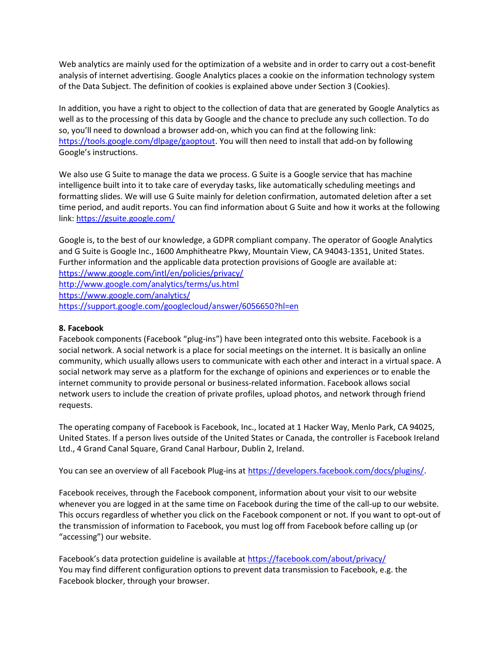Web analytics are mainly used for the optimization of a website and in order to carry out a cost-benefit analysis of internet advertising. Google Analytics places a cookie on the information technology system of the Data Subject. The definition of cookies is explained above under Section 3 (Cookies).

In addition, you have a right to object to the collection of data that are generated by Google Analytics as well as to the processing of this data by Google and the chance to preclude any such collection. To do so, you'll need to download a browser add-on, which you can find at the following link: https://tools.google.com/dlpage/gaoptout. You will then need to install that add-on by following Google's instructions.

We also use G Suite to manage the data we process. G Suite is a Google service that has machine intelligence built into it to take care of everyday tasks, like automatically scheduling meetings and formatting slides. We will use G Suite mainly for deletion confirmation, automated deletion after a set time period, and audit reports. You can find information about G Suite and how it works at the following link: https://gsuite.google.com/

Google is, to the best of our knowledge, a GDPR compliant company. The operator of Google Analytics and G Suite is Google Inc., 1600 Amphitheatre Pkwy, Mountain View, CA 94043-1351, United States. Further information and the applicable data protection provisions of Google are available at: https://www.google.com/intl/en/policies/privacy/ http://www.google.com/analytics/terms/us.html https://www.google.com/analytics/ https://support.google.com/googlecloud/answer/6056650?hl=en

### 8. Facebook

Facebook components (Facebook "plug-ins") have been integrated onto this website. Facebook is a social network. A social network is a place for social meetings on the internet. It is basically an online community, which usually allows users to communicate with each other and interact in a virtual space. A social network may serve as a platform for the exchange of opinions and experiences or to enable the internet community to provide personal or business-related information. Facebook allows social network users to include the creation of private profiles, upload photos, and network through friend requests.

The operating company of Facebook is Facebook, Inc., located at 1 Hacker Way, Menlo Park, CA 94025, United States. If a person lives outside of the United States or Canada, the controller is Facebook Ireland Ltd., 4 Grand Canal Square, Grand Canal Harbour, Dublin 2, Ireland.

You can see an overview of all Facebook Plug-ins at https://developers.facebook.com/docs/plugins/.

Facebook receives, through the Facebook component, information about your visit to our website whenever you are logged in at the same time on Facebook during the time of the call-up to our website. This occurs regardless of whether you click on the Facebook component or not. If you want to opt-out of the transmission of information to Facebook, you must log off from Facebook before calling up (or "accessing") our website.

Facebook's data protection guideline is available at https://facebook.com/about/privacy/ You may find different configuration options to prevent data transmission to Facebook, e.g. the Facebook blocker, through your browser.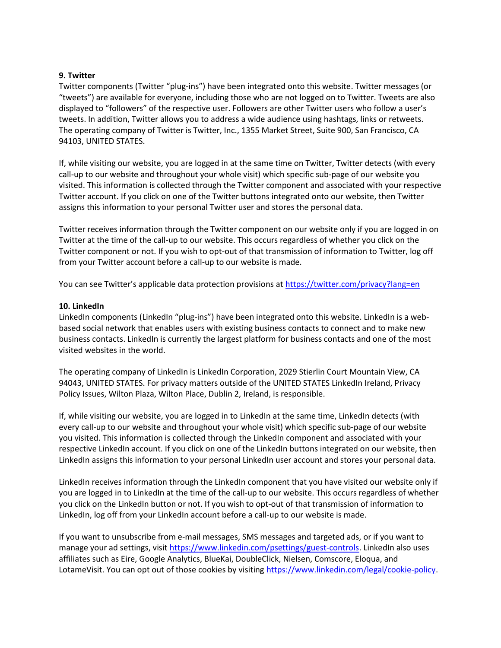#### 9. Twitter

Twitter components (Twitter "plug-ins") have been integrated onto this website. Twitter messages (or "tweets") are available for everyone, including those who are not logged on to Twitter. Tweets are also displayed to "followers" of the respective user. Followers are other Twitter users who follow a user's tweets. In addition, Twitter allows you to address a wide audience using hashtags, links or retweets. The operating company of Twitter is Twitter, Inc., 1355 Market Street, Suite 900, San Francisco, CA 94103, UNITED STATES.

If, while visiting our website, you are logged in at the same time on Twitter, Twitter detects (with every call-up to our website and throughout your whole visit) which specific sub-page of our website you visited. This information is collected through the Twitter component and associated with your respective Twitter account. If you click on one of the Twitter buttons integrated onto our website, then Twitter assigns this information to your personal Twitter user and stores the personal data.

Twitter receives information through the Twitter component on our website only if you are logged in on Twitter at the time of the call-up to our website. This occurs regardless of whether you click on the Twitter component or not. If you wish to opt-out of that transmission of information to Twitter, log off from your Twitter account before a call-up to our website is made.

You can see Twitter's applicable data protection provisions at https://twitter.com/privacy?lang=en

#### 10. LinkedIn

LinkedIn components (LinkedIn "plug-ins") have been integrated onto this website. LinkedIn is a webbased social network that enables users with existing business contacts to connect and to make new business contacts. LinkedIn is currently the largest platform for business contacts and one of the most visited websites in the world.

The operating company of LinkedIn is LinkedIn Corporation, 2029 Stierlin Court Mountain View, CA 94043, UNITED STATES. For privacy matters outside of the UNITED STATES LinkedIn Ireland, Privacy Policy Issues, Wilton Plaza, Wilton Place, Dublin 2, Ireland, is responsible.

If, while visiting our website, you are logged in to LinkedIn at the same time, LinkedIn detects (with every call-up to our website and throughout your whole visit) which specific sub-page of our website you visited. This information is collected through the LinkedIn component and associated with your respective LinkedIn account. If you click on one of the LinkedIn buttons integrated on our website, then LinkedIn assigns this information to your personal LinkedIn user account and stores your personal data.

LinkedIn receives information through the LinkedIn component that you have visited our website only if you are logged in to LinkedIn at the time of the call-up to our website. This occurs regardless of whether you click on the LinkedIn button or not. If you wish to opt-out of that transmission of information to LinkedIn, log off from your LinkedIn account before a call-up to our website is made.

If you want to unsubscribe from e-mail messages, SMS messages and targeted ads, or if you want to manage your ad settings, visit https://www.linkedin.com/psettings/guest-controls. LinkedIn also uses affiliates such as Eire, Google Analytics, BlueKai, DoubleClick, Nielsen, Comscore, Eloqua, and LotameVisit. You can opt out of those cookies by visiting https://www.linkedin.com/legal/cookie-policy.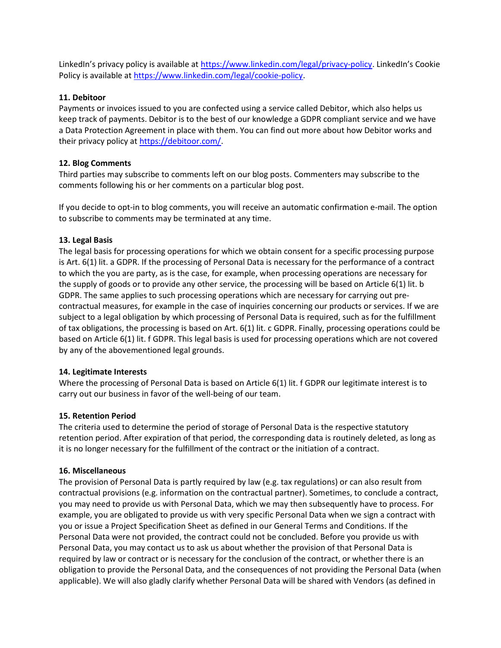LinkedIn's privacy policy is available at https://www.linkedin.com/legal/privacy-policy. LinkedIn's Cookie Policy is available at https://www.linkedin.com/legal/cookie-policy.

### 11. Debitoor

Payments or invoices issued to you are confected using a service called Debitor, which also helps us keep track of payments. Debitor is to the best of our knowledge a GDPR compliant service and we have a Data Protection Agreement in place with them. You can find out more about how Debitor works and their privacy policy at https://debitoor.com/.

# 12. Blog Comments

Third parties may subscribe to comments left on our blog posts. Commenters may subscribe to the comments following his or her comments on a particular blog post.

If you decide to opt-in to blog comments, you will receive an automatic confirmation e-mail. The option to subscribe to comments may be terminated at any time.

# 13. Legal Basis

The legal basis for processing operations for which we obtain consent for a specific processing purpose is Art. 6(1) lit. a GDPR. If the processing of Personal Data is necessary for the performance of a contract to which the you are party, as is the case, for example, when processing operations are necessary for the supply of goods or to provide any other service, the processing will be based on Article 6(1) lit. b GDPR. The same applies to such processing operations which are necessary for carrying out precontractual measures, for example in the case of inquiries concerning our products or services. If we are subject to a legal obligation by which processing of Personal Data is required, such as for the fulfillment of tax obligations, the processing is based on Art. 6(1) lit. c GDPR. Finally, processing operations could be based on Article 6(1) lit. f GDPR. This legal basis is used for processing operations which are not covered by any of the abovementioned legal grounds.

### 14. Legitimate Interests

Where the processing of Personal Data is based on Article 6(1) lit. f GDPR our legitimate interest is to carry out our business in favor of the well-being of our team.

### 15. Retention Period

The criteria used to determine the period of storage of Personal Data is the respective statutory retention period. After expiration of that period, the corresponding data is routinely deleted, as long as it is no longer necessary for the fulfillment of the contract or the initiation of a contract.

### 16. Miscellaneous

The provision of Personal Data is partly required by law (e.g. tax regulations) or can also result from contractual provisions (e.g. information on the contractual partner). Sometimes, to conclude a contract, you may need to provide us with Personal Data, which we may then subsequently have to process. For example, you are obligated to provide us with very specific Personal Data when we sign a contract with you or issue a Project Specification Sheet as defined in our General Terms and Conditions. If the Personal Data were not provided, the contract could not be concluded. Before you provide us with Personal Data, you may contact us to ask us about whether the provision of that Personal Data is required by law or contract or is necessary for the conclusion of the contract, or whether there is an obligation to provide the Personal Data, and the consequences of not providing the Personal Data (when applicable). We will also gladly clarify whether Personal Data will be shared with Vendors (as defined in